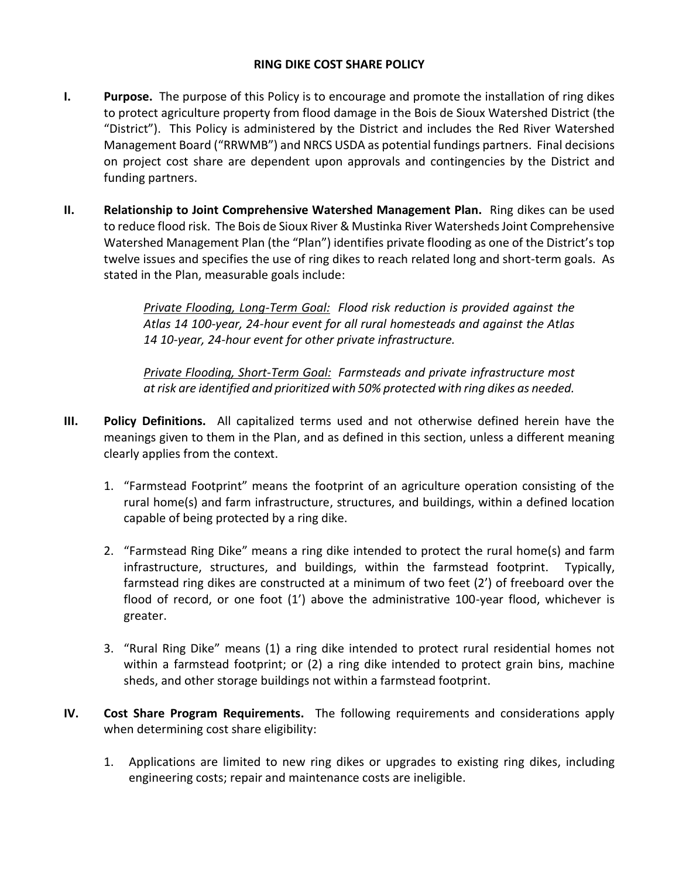## **RING DIKE COST SHARE POLICY**

- **I. Purpose.** The purpose of this Policy is to encourage and promote the installation of ring dikes to protect agriculture property from flood damage in the Bois de Sioux Watershed District (the "District"). This Policy is administered by the District and includes the Red River Watershed Management Board ("RRWMB") and NRCS USDA as potential fundings partners. Final decisions on project cost share are dependent upon approvals and contingencies by the District and funding partners.
- **II. Relationship to Joint Comprehensive Watershed Management Plan.** Ring dikes can be used to reduce flood risk. The Bois de Sioux River & Mustinka River Watersheds Joint Comprehensive Watershed Management Plan (the "Plan") identifies private flooding as one of the District's top twelve issues and specifies the use of ring dikes to reach related long and short-term goals. As stated in the Plan, measurable goals include:

*Private Flooding, Long-Term Goal: Flood risk reduction is provided against the Atlas 14 100-year, 24-hour event for all rural homesteads and against the Atlas 14 10-year, 24-hour event for other private infrastructure.*

*Private Flooding, Short-Term Goal: Farmsteads and private infrastructure most at risk are identified and prioritized with 50% protected with ring dikes as needed.*

- **III. Policy Definitions.** All capitalized terms used and not otherwise defined herein have the meanings given to them in the Plan, and as defined in this section, unless a different meaning clearly applies from the context.
	- 1. "Farmstead Footprint" means the footprint of an agriculture operation consisting of the rural home(s) and farm infrastructure, structures, and buildings, within a defined location capable of being protected by a ring dike.
	- 2. "Farmstead Ring Dike" means a ring dike intended to protect the rural home(s) and farm infrastructure, structures, and buildings, within the farmstead footprint. Typically, farmstead ring dikes are constructed at a minimum of two feet (2') of freeboard over the flood of record, or one foot (1') above the administrative 100-year flood, whichever is greater.
	- 3. "Rural Ring Dike" means (1) a ring dike intended to protect rural residential homes not within a farmstead footprint; or (2) a ring dike intended to protect grain bins, machine sheds, and other storage buildings not within a farmstead footprint.
- **IV. Cost Share Program Requirements.** The following requirements and considerations apply when determining cost share eligibility:
	- 1. Applications are limited to new ring dikes or upgrades to existing ring dikes, including engineering costs; repair and maintenance costs are ineligible.